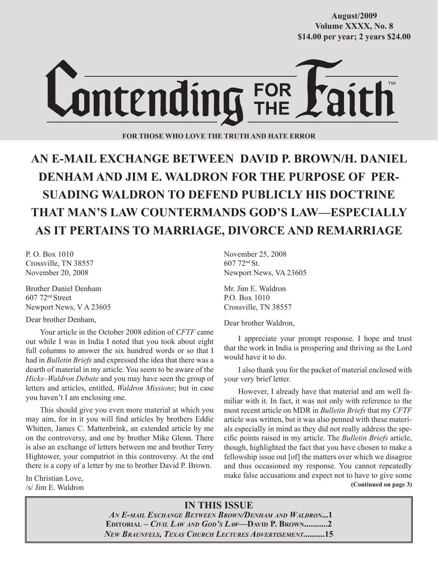**Volume XXXX, No. 8 Volume XXXVIII, No. 10 \$14.00 per year; 2 years \$24.00 \$14.00 per year; 2 years \$24.00 August/2009**



**FOR THOSE WHO LOVE THE TRUTH AND HATE ERROR**

# **AN E-MAIL EXCHANGE BETWEEN DAVID P. BROWN/H. DANIEL DENHAM AND JIM E. WALDRON FOR THE PURPOSE OF PER-SUADING WALDRON TO DEFEND PUBLICLY HIS DOCTRINE THAT MAN'S LAW COUNTERMANDS GOD'S LAW—ESPECIALLY AS IT PERTAINS TO MARRIAGE, DIVORCE AND REMARRIAGE**

P. O. Box 1010 Crossville, TN 38557 November 20, 2008

Brother Daniel Denham 607 72nd Street Newport News, V A 23605

Dear brother Denham,

Your article in the October 2008 edition of *CFTF* came out while I was in India I noted that you took about eight full columns to answer the six hundred words or so that I had in *Bulletin Briefs* and expressed the idea that there was a dearth of material in my article. You seem to be aware of the *Hicks–Waldron Debate* and you may have seen the group of letters and articles, entitled, *Waldron Missions*; but in case you haven't I am enclosing one.

This should give you even more material at which you may aim, for in it you will find articles by brothers Eddie Whitten, James C. Mattenbrink, an extended article by me on the controversy, and one by brother Mike Glenn. There is also an exchange of letters between me and brother Terry Hightower, your compatriot in this controversy. At the end there is a copy of a letter by me to brother David P. Brown.

In Christian Love, /s/ Jim E. Waldron November 25, 2008 607 72nd St. Newport News, VA 23605

Mr. Jim E. Waldron P.O. Box 1010 Crossville, TN 38557

Dear brother Waldron,

I appreciate your prompt response. I hope and trust that the work in India is prospering and thriving as the Lord would have it to do.

I also thank you for the packet of material enclosed with your very brief letter.

 **(Continued on page 3)** However, I already have that material and am well familiar with it. In fact, it was not only with reference to the most recent article on MDR in *Bulletin Briefs* that my *CFTF* article was written, but it was also penned with these materials especially in mind as they did not really address the specific points raised in my article. The *Bulletin Briefs* article, though, highlighted the fact that you have chosen to make a fellowship issue out [of] the matters over which we disagree and thus occasioned my response. You cannot repeatedly make false accusations and expect not to have to give some

## **IN THIS ISSUE**

*AN E-MAIL EXCHANGE BETWEEN BROWN/DENHAM AND WALDRON***...1 EDITORIAL –** *CIVIL LAW AND GOD'S LAW***—DAVID P. BROWN...........2** *NEW BRAUNFELS, TEXAS CHURCH LECTURES ADVERTISEMENT***..........15**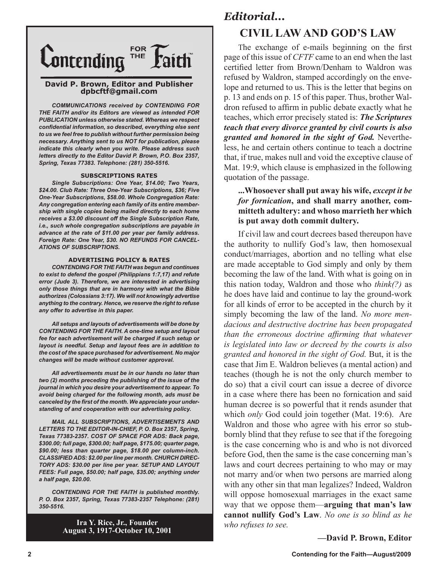

#### **David P. Brown, Editor and Publisher dpbcftf@gmail.com**

*COMMUNICATIONS received by CONTENDING FOR THE FAITH and/or its Editors are viewed as intended FOR PUBLICATION unless otherwise stated. Whereas we respect confidential information, so described, everything else sent to us we feel free to publish without further permission being necessary. Anything sent to us NOT for publication, please indicate this clearly when you write. Please address such letters directly to the Editor David P. Brown, P.O. Box 2357, Spring, Texas 77383. Telephone: (281) 350-5516.*

#### **SUBSCRIPTIONS RATES**

*Single Subscriptions: One Year, \$14.00; Two Years, \$24.00. Club Rate: Three One-Year Subscriptions, \$36; Five One-Year Subscriptions, \$58.00. Whole Congregation Rate: Any congregation entering each family of its entire membership with single copies being mailed directly to each home receives a \$3.00 discount off the Single Subscription Rate, i.e., such whole congregation subscriptions are payable in advance at the rate of \$11.00 per year per family address. Foreign Rate: One Year, \$30. NO REFUNDS FOR CANCEL-ATIONS OF SUBSCRIPTIONS.*

#### **ADVERTISING POLICY & RATES**

*CONTENDING FOR THE FAITH was begun and continues to exist to defend the gospel (Philippians 1:7,17) and refute error (Jude 3). Therefore, we are interested in advertising only those things that are in harmony with what the Bible authorizes (Colossians 3:17). We will not knowingly advertise anything to the contrary. Hence, we reserve the right to refuse any offer to advertise in this paper.*

*All setups and layouts of advertisements will be done by CONTENDING FOR THE FAITH. A one-time setup and layout fee for each advertisement will be charged if such setup or layout is needful. Setup and layout fees are in addition to the cost of the space purchased for advertisement. No major changes will be made without customer approval.*

*All advertisements must be in our hands no later than two (2) months preceding the publishing of the issue of the journal in which you desire your advertisement to appear. To avoid being charged for the following month, ads must be canceled by the first of the month. We appreciate your understanding of and cooperation with our advertising policy.*

*MAIL ALL SUBSCRIPTIONS, ADVERTISEMENTS AND LETTERS TO THE EDITOR-IN-CHIEF, P. O. Box 2357, Spring, Texas 77383-2357. COST OF SPACE FOR ADS: Back page, \$300.00; full page, \$300.00; half page, \$175.00; quarter page, \$90.00; less than quarter page, \$18.00 per column-inch. CLASSIFIED ADS: \$2.00 per line per month. CHURCH DIREC-TORY ADS: \$30.00 per line per year. SETUP AND LAYOUT FEES: Full page, \$50.00; half page, \$35.00; anything under a half page, \$20.00.*

*CONTENDING FOR THE FAITH is published monthly. P. O. Box 2357, Spring, Texas 77383-2357 Telephone: (281) 350-5516.*

> **Ira Y. Rice, Jr., Founder August 3, 1917-October 10, 2001**

## *Editorial...*

## **CIVIL LAW AND GOD'S LAW**

The exchange of e-mails beginning on the first page of this issue of *CFTF* came to an end when the last certified letter from Brown/Denham to Waldron was refused by Waldron, stamped accordingly on the envelope and returned to us. This is the letter that begins on p. 13 and ends on p. 15 of this paper. Thus, brother Waldron refused to affirm in public debate exactly what he teaches, which error precisely stated is: *The Scriptures teach that every divorce granted by civil courts is also granted and honored in the sight of God.* Nevertheless, he and certain others continue to teach a doctrine that, if true, makes null and void the exceptive clause of Mat. 19:9, which clause is emphasized in the following quotation of the passage.

### **...Whosoever shall put away his wife,** *except it be for fornication***, and shall marry another, committeth adultery: and whoso marrieth her which is put away doth commit dultery.**

If civil law and court decrees based thereupon have the authority to nullify God's law, then homosexual conduct/marriages, abortion and no telling what else are made acceptable to God simply and only by them becoming the law of the land. With what is going on in this nation today, Waldron and those who *think(?)* as he does have laid and continue to lay the ground-work for all kinds of error to be accepted in the church by it simply becoming the law of the land. *No more mendacious and destructive doctrine has been propagated than the erroneous doctrine affirming that whatever is legislated into law or decreed by the courts is also granted and honored in the sight of God.* But, it is the case that Jim E. Waldron believes (a mental action) and teaches (though he is not the only church member to do so) that a civil court can issue a decree of divorce in a case where there has been no fornication and said human decree is so powerful that it rends asunder that which *only* God could join together (Mat. 19:6). Are Waldron and those who agree with his error so stubbornly blind that they refuse to see that if the foregoing is the case concerning who is and who is not divorced before God, then the same is the case concerning man's laws and court decrees pertaining to who may or may not marry and/or when two persons are married along with any other sin that man legalizes? Indeed, Waldron will oppose homosexual marriages in the exact same way that we oppose them—**arguing that man's law cannot nullify God's Law**. *No one is so blind as he who refuses to see.* 

**—David P. Brown, Editor**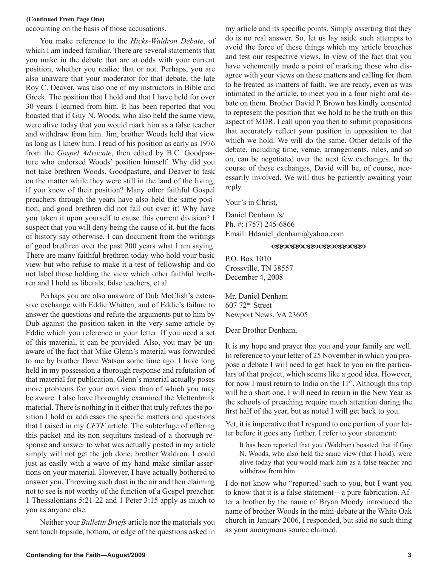#### **(Continued From Page One)**

accounting on the basis of those accusations.

You make reference to the *Hicks-Waldron Debate*, of which I am indeed familiar. There are several statements that you make in the debate that are at odds with your current position, whether you realize that or not. Perhaps, you are also unaware that your moderator for that debate, the late Roy C. Deaver, was also one of my instructors in Bible and Greek. The position that I hold and that I have held for over 30 years I learned from him. It has been reported that you boasted that if Guy N. Woods, who also held the same view, were alive today that you would mark him as a false teacher and withdraw from him. Jim, brother Woods held that view as long as I knew him. I read of his position as early as 1976 from the *Gospel Advocate*, then edited by B.C. Goodpasture who endorsed Woods' position himself. Why did you not take brethren Woods, Goodpasture, and Deaver to task on the matter while they were still in the land of the living, if you knew of their position? Many other faithful Gospel preachers through the years have also held the same position, and good brethren did not fall out over it! Why have you taken it upon yourself to cause this current division? I suspect that you will deny being the cause of it, but the facts of history say otherwise. I can document from the writings of good brethren over the past 200 years what I am saying. There are many faithful brethren today who hold your basic view but who refuse to make it a test of fellowship and do not label those holding the view which other faithful brethren and I hold as liberals, false teachers, et al.

Perhaps you are also unaware of Dub McClish's extensive exchange with Eddie Whitten, and of Eddie's failure to answer the questions and refute the arguments put to him by Dub against the position taken in the very same article by Eddie which you reference in your letter. If you need a set of this material, it can be provided. Also, you may be unaware of the fact that Mike Glenn's material was forwarded to me by brother Dave Watson some time ago. I have long held in my possession a thorough response and refutation of that material for publication. Glenn's material actually poses more problems for your own view than of which you may be aware. I also have thoroughly examined the Mettenbrink material. There is nothing in it either that truly refutes the position I hold or addresses the specific matters and questions that I raised in my *CFTF* article. The subterfuge of offering this packet and its non sequiturs instead of a thorough response and answer to what was actually posted in my article simply will not get the job done, brother Waldron. I could just as easily with a wave of my hand make similar assertions on your material. However, I have actually bothered to answer you. Throwing such dust in the air and then claiming not to see is not worthy of the function of a Gospel preacher. 1 Thessalonians 5:21-22 and 1 Peter 3:15 apply as much to you as anyone else.

Neither your *Bulletin Briefs* article nor the materials you sent touch topside, bottom, or edge of the questions asked in

my article and its specific points. Simply asserting that they do is no real answer. So, let us lay aside such attempts to avoid the force of these things which my article broaches and test our respective views. In view of the fact that you have vehemently made a point of marking those who disagree with your views on these matters and calling for them to be treated as matters of faith, we are ready, even as was intimated in the article, to meet you in a four night oral debate on them. Brother David P. Brown has kindly consented to represent the position that we hold to be the truth on this aspect of MDR. I call upon you then to submit propositions that accurately reflect your position in opposition to that which we hold. We will do the same. Other details of the debate, including time, venue, arrangements, rules, and so on, can be negotiated over the next few exchanges. In the course of these exchanges, David will be, of course, necessarily involved. We will thus be patiently awaiting your reply.

Your's in Christ,

Daniel Denham /s/ Ph. #: (757) 245-6866 Email: Hdaniel\_denham@yahoo.com

#### **GEOGEOGEOGEOGEOGEO**

P.O. Box 1010 Crossville, TN 38557 December 4, 2008

Mr. Daniel Denham 607 72nd Street Newport News, VA 23605

Dear Brother Denham,

It is my hope and prayer that you and your family are well. In reference to your letter of 25 November in which you propose a debate I will need to get back to you on the particulars of that project, which seems like a good idea. However, for now I must return to India on the  $11<sup>th</sup>$ . Although this trip will be a short one, I will need to return in the New Year as the schools of preaching require much attention during the first half of the year, but as noted I will get back to you.

Yet, it is imperative that I respond to one portion of your letter before it goes any further. I refer to your statement:

It has been reported that you (Waldron) boasted that if Guy N. Woods, who also held the same view (that I hold), were alive today that you would mark him as a false teacher and withdraw from him.

I do not know who "reported' such to you, but I want you to know that it is a false statement—a pure fabrication. After a brother by the name of Bryan Moody introduced the name of brother Woods in the mini-debate at the White Oak church in January 2006, I responded, but said no such thing as your anonymous source claimed.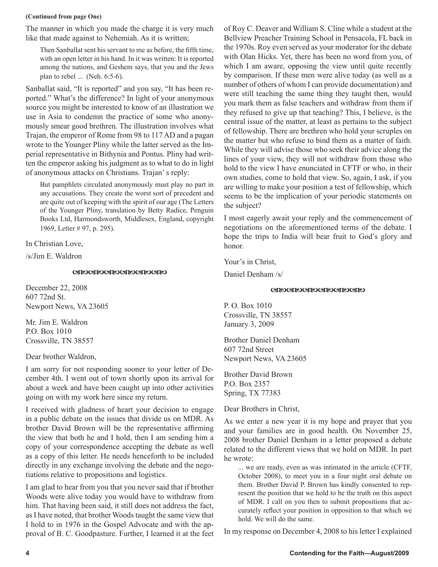#### **(Continued from page One)**

The manner in which you made the charge it is very much like that made against to Nehemiah. As it is written;

Then Sanballat sent his servant to me as before, the fifth time, with an open letter in his hand. In it was written: It is reported among the nations, and Geshem says, that you and the Jews plan to rebel ... (Neh. 6:5-6).

Sanballat said, "It is reported" and you say, "It has been reported." What's the difference? In light of your anonymous source you might be interested to know of an illustration we use in Asia to condemn the practice of some who anonymously smear good brethren. The illustration involves what Trajan, the emperor of Rome from 98 to 117 AD and a pagan wrote to the Younger Pliny while the latter served as the Imperial representative in Bithynia and Pontus. Pliny had written the emperor asking his judgment as to what to do in light of anonymous attacks on Christians. Trajan' s reply:

But pamphlets circulated anonymously must play no part in any accusations. They create the worst sort of precedent and are quite out of keeping with the spirit of our age (The Letters of the Younger Pliny, translation by Betty Radice, Penguin Books Ltd, Harmondsworth, Middlesex, England, copyright 1969, Letter # 97, p. 295).

In Christian Love,

/s/Jim E. Waldron

#### **GROGROGROGROGROGRO**

December 22, 2008 607 72nd St. Newport News, VA 23605

Mr. Jim E. Waldron P.O. Box 1010 Crossville, TN 38557

#### Dear brother Waldron,

I am sorry for not responding sooner to your letter of December 4th. I went out of town shortly upon its arrival for about a week and have been caught up into other activities going on with my work here since my return.

I received with gladness of heart your decision to engage in a public debate on the issues that divide us on MDR. As brother David Brown will be the representative affirming the view that both he and I hold, then I am sending him a copy of your correspondence accepting the debate as well as a copy of this letter. He needs henceforth to be included directly in any exchange involving the debate and the negotiations relative to propositions and logistics.

I am glad to hear from you that you never said that if brother Woods were alive today you would have to withdraw from him. That having been said, it still does not address the fact, as I have noted, that brother Woods taught the same view that I hold to in 1976 in the Gospel Advocate and with the approval of B. C. Goodpasture. Further, I learned it at the feet of Roy C. Deaver and William S. Cline while a student at the Bellview Preacher Training School in Pensacola, FL back in the 1970s. Roy even served as your moderator for the debate with Olan Hicks. Yet, there has been no word from you, of which I am aware, opposing the view until quite recently by comparison. If these men were alive today (as well as a number of others of whom I can provide documentation) and were still teaching the same thing they taught then, would you mark them as false teachers and withdraw from them if they refused to give up that teaching? This, I believe, is the central issue of the matter, at least as pertains to the subject of fellowship. There are brethren who hold your scruples on the matter but who refuse to bind them as a matter of faith. While they will advise those who seek their advice along the lines of your view, they will not withdraw from those who hold to the view I have enunciated in CFTF or who, in their own studies, come to hold that view. So, again, I ask, if you are willing to make your position a test of fellowship, which seems to be the implication of your periodic statements on the subject?

I most eagerly await your reply and the commencement of negotiations on the aforementioned terms of the debate. I hope the trips to India will bear fruit to God's glory and honor.

Your's in Christ,

Daniel Denham /s/

#### **GROGROGROGROGROGRO**

P. O. Box 1010 Crossville, TN 38557 January 3, 2009

Brother Daniel Denham 607 72nd Street Newport News, VA 23605

Brother David Brown P.O. Box 2357 Spring, TX 77383

Dear Brothers in Christ,

As we enter a new year it is my hope and prayer that you and your families are in good health. On November 25, 2008 brother Daniel Denham in a letter proposed a debate related to the different views that we hold on MDR. In part he wrote:

... we are ready, even as was intimated in the article (CFTF, October 2008), to meet you in a four night oral debate on them. Brother David P. Brown has kindly consented to represent the position that we hold to be the truth on this aspect of MDR. I call on you then to submit propositions that accurately reflect your position in opposition to that which we hold. We will do the same.

In my response on December 4, 2008 to his letter I explained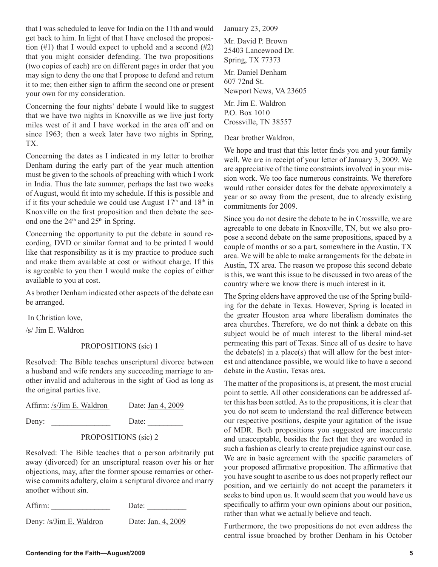that I was scheduled to leave for India on the 11th and would get back to him. In light of that I have enclosed the proposition  $(\#1)$  that I would expect to uphold and a second  $(\#2)$ that you might consider defending. The two propositions (two copies of each) are on different pages in order that you may sign to deny the one that I propose to defend and return it to me; then either sign to affirm the second one or present your own for my consideration.

Concerning the four nights' debate I would like to suggest that we have two nights in Knoxville as we live just forty miles west of it and I have worked in the area off and on since 1963; then a week later have two nights in Spring, TX.

Concerning the dates as I indicated in my letter to brother Denham during the early part of the year much attention must be given to the schools of preaching with which I work in India. Thus the late summer, perhaps the last two weeks of August, would fit into my schedule. If this is possible and if it fits your schedule we could use August  $17<sup>th</sup>$  and  $18<sup>th</sup>$  in Knoxville on the first proposition and then debate the second one the  $24<sup>th</sup>$  and  $25<sup>th</sup>$  in Spring.

Concerning the opportunity to put the debate in sound recording, DVD or similar format and to be printed I would like that responsibility as it is my practice to produce such and make them available at cost or without charge. If this is agreeable to you then I would make the copies of either available to you at cost.

As brother Denham indicated other aspects of the debate can be arranged.

In Christian love,

/s/ Jim E. Waldron

### PROPOSITIONS (sic) 1

Resolved: The Bible teaches unscriptural divorce between a husband and wife renders any succeeding marriage to another invalid and adulterous in the sight of God as long as the original parties live.

| Affirm: /s/Jim E. Waldron | Date: Jan 4, 2009 |  |
|---------------------------|-------------------|--|
| Deny:                     | Date:             |  |
|                           |                   |  |

### PROPOSITIONS (sic) 2

Resolved: The Bible teaches that a person arbitrarily put away (divorced) for an unscriptural reason over his or her objections, may, after the former spouse remarries or otherwise commits adultery, claim a scriptural divorce and marry another without sin.

| Affirm:                 | Date:              |
|-------------------------|--------------------|
| Deny: /s/Jim E. Waldron | Date: Jan. 4, 2009 |

January 23, 2009

Mr. David P. Brown 25403 Lancewood Dr. Spring, TX 77373

Mr. Daniel Denham 607 72nd St. Newport News, VA 23605

Mr. Jim E. Waldron P.O. Box 1010 Crossville, TN 38557

Dear brother Waldron,

We hope and trust that this letter finds you and your family well. We are in receipt of your letter of January 3, 2009. We are appreciative of the time constraints involved in your mission work. We too face numerous constraints. We therefore would rather consider dates for the debate approximately a year or so away from the present, due to already existing commitments for 2009.

Since you do not desire the debate to be in Crossville, we are agreeable to one debate in Knoxville, TN, but we also propose a second debate on the same propositions, spaced by a couple of months or so a part, somewhere in the Austin, TX area. We will be able to make arrangements for the debate in Austin, TX area. The reason we propose this second debate is this, we want this issue to be discussed in two areas of the country where we know there is much interest in it.

The Spring elders have approved the use of the Spring building for the debate in Texas. However, Spring is located in the greater Houston area where liberalism dominates the area churches. Therefore, we do not think a debate on this subject would be of much interest to the liberal mind-set permeating this part of Texas. Since all of us desire to have the debate(s) in a place(s) that will allow for the best interest and attendance possible, we would like to have a second debate in the Austin, Texas area.

The matter of the propositions is, at present, the most crucial point to settle. All other considerations can be addressed after this has been settled. As to the propositions, it is clear that you do not seem to understand the real difference between our respective positions, despite your agitation of the issue of MDR. Both propositions you suggested are inaccurate and unacceptable, besides the fact that they are worded in such a fashion as clearly to create prejudice against our case. We are in basic agreement with the specific parameters of your proposed affirmative proposition. The affirmative that you have sought to ascribe to us does not properly reflect our position, and we certainly do not accept the parameters it seeks to bind upon us. It would seem that you would have us specifically to affirm your own opinions about our position, rather than what we actually believe and teach.

Furthermore, the two propositions do not even address the central issue broached by brother Denham in his October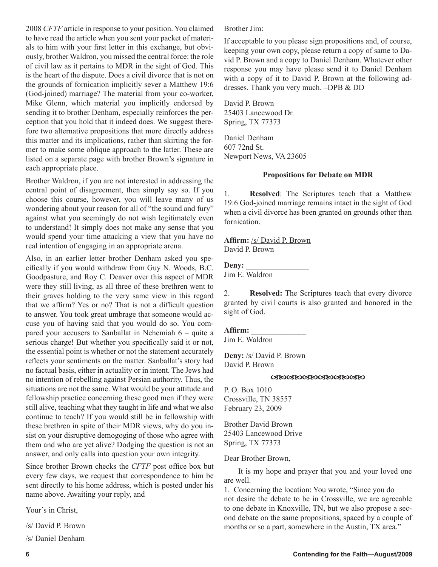2008 *CFTF* article in response to your position. You claimed to have read the article when you sent your packet of materials to him with your first letter in this exchange, but obviously, brother Waldron, you missed the central force: the role of civil law as it pertains to MDR in the sight of God. This is the heart of the dispute. Does a civil divorce that is not on the grounds of fornication implicitly sever a Matthew 19:6 (God-joined) marriage? The material from your co-worker, Mike Glenn, which material you implicitly endorsed by sending it to brother Denham, especially reinforces the perception that you hold that it indeed does. We suggest therefore two alternative propositions that more directly address this matter and its implications, rather than skirting the former to make some oblique approach to the latter. These are listed on a separate page with brother Brown's signature in each appropriate place.

Brother Waldron, if you are not interested in addressing the central point of disagreement, then simply say so. If you choose this course, however, you will leave many of us wondering about your reason for all of "the sound and fury" against what you seemingly do not wish legitimately even to understand! It simply does not make any sense that you would spend your time attacking a view that you have no real intention of engaging in an appropriate arena.

Also, in an earlier letter brother Denham asked you specifically if you would withdraw from Guy N. Woods, B.C. Goodpasture, and Roy C. Deaver over this aspect of MDR were they still living, as all three of these brethren went to their graves holding to the very same view in this regard that we affirm? Yes or no? That is not a difficult question to answer. You took great umbrage that someone would accuse you of having said that you would do so. You compared your accusers to Sanballat in Nehemiah 6 – quite a serious charge! But whether you specifically said it or not, the essential point is whether or not the statement accurately reflects your sentiments on the matter. Sanballat's story had no factual basis, either in actuality or in intent. The Jews had no intention of rebelling against Persian authority. Thus, the situations are not the same. What would be your attitude and fellowship practice concerning these good men if they were still alive, teaching what they taught in life and what we also continue to teach? If you would still be in fellowship with these brethren in spite of their MDR views, why do you insist on your disruptive demogoging of those who agree with them and who are yet alive? Dodging the question is not an answer, and only calls into question your own integrity.

Since brother Brown checks the *CFTF* post office box but every few days, we request that correspondence to him be sent directly to his home address, which is posted under his name above. Awaiting your reply, and

Your's in Christ,

/s/ David P. Brown

/s/ Daniel Denham

Brother Jim:

If acceptable to you please sign propositions and, of course, keeping your own copy, please return a copy of same to David P. Brown and a copy to Daniel Denham. Whatever other response you may have please send it to Daniel Denham with a copy of it to David P. Brown at the following addresses. Thank you very much. –DPB & DD

David P. Brown 25403 Lancewood Dr. Spring, TX 77373

Daniel Denham 607 72nd St. Newport News, VA 23605

### **Propositions for Debate on MDR**

1. **Resolved**: The Scriptures teach that a Matthew 19:6 God-joined marriage remains intact in the sight of God when a civil divorce has been granted on grounds other than fornication.

**Affirm:** /s/ David P. Brown David P. Brown

### Deny:

Jim E. Waldron

2. **Resolved:** The Scriptures teach that every divorce granted by civil courts is also granted and honored in the sight of God.

### **Affirm:** \_\_\_\_\_\_\_\_\_\_\_\_\_\_

Jim E. Waldron

**Deny:** /s/ David P. Brown David P. Brown

#### **GROGROGROGROGROGRO**

P. O. Box 1010 Crossville, TN 38557 February 23, 2009

Brother David Brown 25403 Lancewood Drive Spring, TX 77373

Dear Brother Brown,

It is my hope and prayer that you and your loved one are well.

1. Concerning the location: You wrote, "Since you do not desire the debate to be in Crossville, we are agreeable to one debate in Knoxville, TN, but we also propose a second debate on the same propositions, spaced by a couple of months or so a part, somewhere in the Austin, TX area."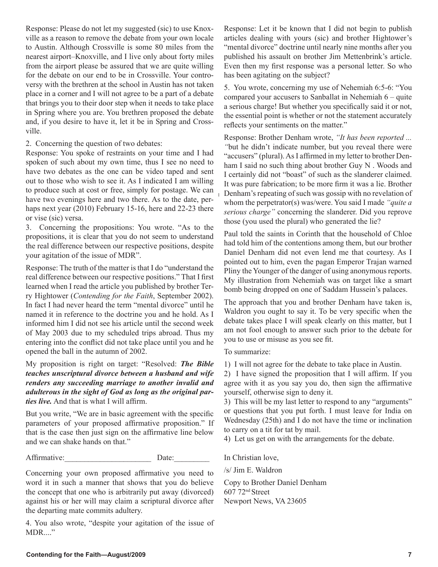Response: Please do not let my suggested (sic) to use Knoxville as a reason to remove the debate from your own locale to Austin. Although Crossville is some 80 miles from the nearest airport–Knoxville, and I live only about forty miles from the airport please be assured that we are quite willing for the debate on our end to be in Crossville. Your controversy with the brethren at the school in Austin has not taken place in a corner and I will not agree to be a part of a debate that brings you to their door step when it needs to take place in Spring where you are. You brethren proposed the debate and, if you desire to have it, let it be in Spring and Crossville.

2. Concerning the question of two debates:

Response: You spoke of restraints on your time and I had spoken of such about my own time, thus I see no need to have two debates as the one can be video taped and sent out to those who wish to see it. As I indicated I am willing to produce such at cost or free, simply for postage. We can have two evenings here and two there. As to the date, perhaps next year (2010) February 15-16, here and 22-23 there or vise (sic) versa.

3. Concerning the propositions: You wrote. "As to the propositions, it is clear that you do not seem to understand the real difference between our respective positions, despite your agitation of the issue of MDR".

Response: The truth of the matter is that I do "understand the real difference between our respective positions." That I first learned when I read the article you published by brother Terry Hightower (*Contending for the Faith*, September 2002). In fact I had never heard the term "mental divorce" until he named it in reference to the doctrine you and he hold. As I informed him I did not see his article until the second week of May 2003 due to my scheduled trips abroad. Thus my entering into the conflict did not take place until you and he opened the ball in the autumn of 2002.

My proposition is right on target: "Resolved: *The Bible teaches unscriptural divorce between a husband and wife renders any succeeding marriage to another invalid and adulterous in the sight of God as long as the original parties live.* And that is what I will affirm.

But you write, "We are in basic agreement with the specific parameters of your proposed affirmative proposition." If that is the case then just sign on the affirmative line below and we can shake hands on that."

Affirmative: Date:

Concerning your own proposed affirmative you need to word it in such a manner that shows that you do believe the concept that one who is arbitrarily put away (divorced) against his or her will may claim a scriptural divorce after the departing mate commits adultery.

4. You also wrote, "despite your agitation of the issue of MDR...."

Response: Let it be known that I did not begin to publish articles dealing with yours (sic) and brother Hightower's "mental divorce" doctrine until nearly nine months after you published his assault on brother Jim Mettenbrink's article. Even then my first response was a personal letter. So who has been agitating on the subject?

5. You wrote, concerning my use of Nehemiah 6:5-6: "You compared your accusers to Sanballat in Nehemiah 6 – quite a serious charge! But whether you specifically said it or not, the essential point is whether or not the statement accurately reflects your sentiments on the matter."

Response: Brother Denham wrote, *"It has been reported ... "*but he didn't indicate number, but you reveal there were "accusers" (plural). As I affirmed in my letter to brother Denham I said no such thing about brother Guy N . Woods and I certainly did not "boast" of such as the slanderer claimed. It was pure fabrication; to be more firm it was a lie. Brother Denham's repeating of such was gossip with no revelation of whom the perpetrator(s) was/were. You said I made *"quite a serious charge"* concerning the slanderer. Did you reprove those (you used the plural) who generated the lie?

Paul told the saints in Corinth that the household of Chloe had told him of the contentions among them, but our brother Daniel Denham did not even lend me that courtesy. As I pointed out to him, even the pagan Emperor Trajan warned Pliny the Younger of the danger of using anonymous reports. My illustration from Nehemiah was on target like a smart bomb being dropped on one of Saddam Hussein's palaces.

The approach that you and brother Denham have taken is, Waldron you ought to say it. To be very specific when the debate takes place I will speak clearly on this matter, but I am not fool enough to answer such prior to the debate for you to use or misuse as you see fit.

To summarize:

1) I will not agree for the debate to take place in Austin.

2) I have signed the proposition that I will affirm. If you agree with it as you say you do, then sign the affirmative yourself, otherwise sign to deny it.

3) This will be my last letter to respond to any "arguments" or questions that you put forth. I must leave for India on Wednesday (25th) and I do not have the time or inclination to carry on a tit for tat by mail.

4) Let us get on with the arrangements for the debate.

In Christian love,

/s/ Jim E. Waldron

Copy to Brother Daniel Denham 607 72nd Street Newport News, VA 23605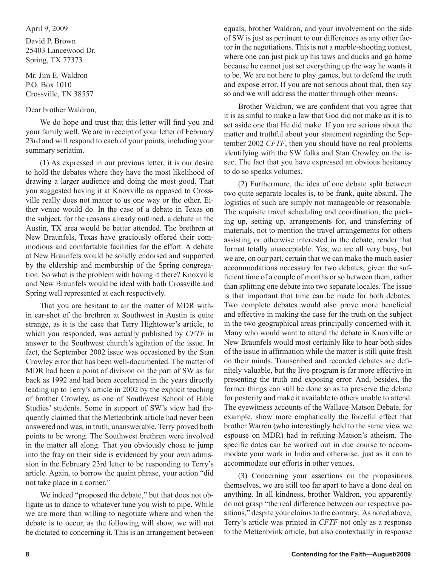#### April 9, 2009

David P. Brown 25403 Lancewood Dr. Spring, TX 77373

Mr. Jim E. Waldron P.O. Box 1010 Crossville, TN 38557

### Dear brother Waldron,

We do hope and trust that this letter will find you and your family well. We are in receipt of your letter of February 23rd and will respond to each of your points, including your summary seriatim.

(1) As expressed in our previous letter, it is our desire to hold the debates where they have the most likelihood of drawing a larger audience and doing the most good. That you suggested having it at Knoxville as opposed to Crossville really does not matter to us one way or the other. Either venue would do. In the case of a debate in Texas on the subject, for the reasons already outlined, a debate in the Austin, TX area would be better attended. The brethren at New Braunfels, Texas have graciously offered their commodious and comfortable facilities for the effort. A debate at New Braunfels would be solidly endorsed and supported by the eldership and membership of the Spring congregation. So what is the problem with having it there? Knoxville and New Braunfels would be ideal with both Crossville and Spring well represented at each respectively.

That you are hesitant to air the matter of MDR within ear-shot of the brethren at Southwest in Austin is quite strange, as it is the case that Terry Hightower's article, to which you responded, was actually published by *CFTF* in answer to the Southwest church's agitation of the issue. In fact, the September 2002 issue was occasioned by the Stan Crowley error that has been well-documented. The matter of MDR had been a point of division on the part of SW as far back as 1992 and had been accelerated in the years directly leading up to Terry's article in 2002 by the explicit teaching of brother Crowley, as one of Southwest School of Bible Studies' students. Some in support of SW's view had frequently claimed that the Mettenbrink article had never been answered and was, in truth, unanswerable. Terry proved both points to be wrong. The Southwest brethren were involved in the matter all along. That you obviously chose to jump into the fray on their side is evidenced by your own admission in the February 23rd letter to be responding to Terry's article. Again, to borrow the quaint phrase, your action "did not take place in a corner."

We indeed "proposed the debate," but that does not obligate us to dance to whatever tune you wish to pipe. While we are more than willing to negotiate where and when the debate is to occur, as the following will show, we will not be dictated to concerning it. This is an arrangement between equals, brother Waldron, and your involvement on the side of SW is just as pertinent to our differences as any other factor in the negotiations. This is not a marble-shooting contest, where one can just pick up his taws and ducks and go home because he cannot just set everything up the way he wants it to be. We are not here to play games, but to defend the truth and expose error. If you are not serious about that, then say so and we will address the matter through other means.

Brother Waldron, we are confident that you agree that it is as sinful to make a law that God did not make as it is to set aside one that He did make. If you are serious about the matter and truthful about your statement regarding the September 2002 *CFTF*, then you should have no real problems identifying with the SW folks and Stan Crowley on the issue. The fact that you have expressed an obvious hesitancy to do so speaks volumes.

(2) Furthermore, the idea of one debate split between two quite separate locales is, to be frank, quite absurd. The logistics of such are simply not manageable or reasonable. The requisite travel scheduling and coordination, the packing up, setting up, arrangements for, and transferring of materials, not to mention the travel arrangements for others assisting or otherwise interested in the debate, render that format totally unacceptable. Yes, we are all very busy, but we are, on our part, certain that we can make the much easier accommodations necessary for two debates, given the sufficient time of a couple of months or so between them, rather than splitting one debate into two separate locales. The issue is that important that time can be made for both debates. Two complete debates would also prove more beneficial and effective in making the case for the truth on the subject in the two geographical areas principally concerned with it. Many who would want to attend the debate in Knoxville or New Braunfels would most certainly like to hear both sides of the issue in affirmation while the matter is still quite fresh on their minds. Transcribed and recorded debates are definitely valuable, but the live program is far more effective in presenting the truth and exposing error. And, besides, the former things can still be done so as to preserve the debate for posterity and make it available to others unable to attend. The eyewitness accounts of the Wallace-Matson Debate, for example, show more emphatically the forceful effect that brother Warren (who interestingly held to the same view we espouse on MDR) had in refuting Matson's atheism. The specific dates can be worked out in due course to accommodate your work in India and otherwise, just as it can to accommodate our efforts in other venues.

(3) Concerning your assertions on the propositions themselves, we are still too far apart to have a done deal on anything. In all kindness, brother Waldron, you apparently do not grasp "the real difference between our respective positions," despite your claims to the contrary. As noted above, Terry's article was printed in *CFTF* not only as a response to the Mettenbrink article, but also contextually in response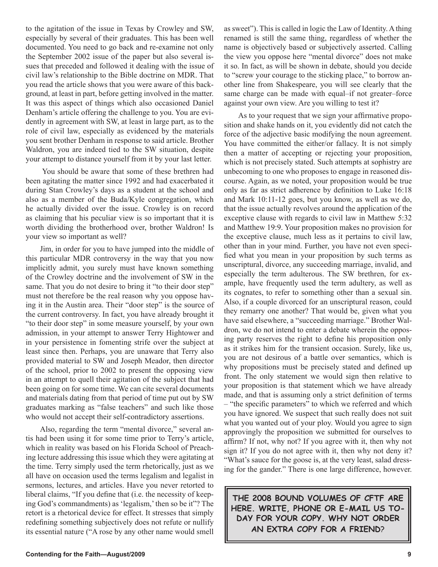to the agitation of the issue in Texas by Crowley and SW, especially by several of their graduates. This has been well documented. You need to go back and re-examine not only the September 2002 issue of the paper but also several issues that preceded and followed it dealing with the issue of civil law's relationship to the Bible doctrine on MDR. That you read the article shows that you were aware of this background, at least in part, before getting involved in the matter. It was this aspect of things which also occasioned Daniel Denham's article offering the challenge to you. You are evidently in agreement with SW, at least in large part, as to the role of civil law, especially as evidenced by the materials you sent brother Denham in response to said article. Brother Waldron, you are indeed tied to the SW situation, despite your attempt to distance yourself from it by your last letter.

 You should be aware that some of these brethren had been agitating the matter since 1992 and had exacerbated it during Stan Crowley's days as a student at the school and also as a member of the Buda/Kyle congregation, which he actually divided over the issue. Crowley is on record as claiming that his peculiar view is so important that it is worth dividing the brotherhood over, brother Waldron! Is your view so important as well?

Jim, in order for you to have jumped into the middle of this particular MDR controversy in the way that you now implicitly admit, you surely must have known something of the Crowley doctrine and the involvement of SW in the same. That you do not desire to bring it "to their door step" must not therefore be the real reason why you oppose having it in the Austin area. Their "door step" is the source of the current controversy. In fact, you have already brought it "to their door step" in some measure yourself, by your own admission, in your attempt to answer Terry Hightower and in your persistence in fomenting strife over the subject at least since then. Perhaps, you are unaware that Terry also provided material to SW and Joseph Meador, then director of the school, prior to 2002 to present the opposing view in an attempt to quell their agitation of the subject that had been going on for some time. We can cite several documents and materials dating from that period of time put out by SW graduates marking as "false teachers" and such like those who would not accept their self-contradictory assertions.

Also, regarding the term "mental divorce," several antis had been using it for some time prior to Terry's article, which in reality was based on his Florida School of Preaching lecture addressing this issue which they were agitating at the time. Terry simply used the term rhetorically, just as we all have on occasion used the terms legalism and legalist in sermons, lectures, and articles. Have you never retorted to liberal claims, "If you define that (i.e. the necessity of keeping God's commandments) as 'legalism,' then so be it"? The retort is a rhetorical device for effect. It stresses that simply redefining something subjectively does not refute or nullify its essential nature ("A rose by any other name would smell as sweet"). This is called in logic the Law of Identity. A thing renamed is still the same thing, regardless of whether the name is objectively based or subjectively asserted. Calling the view you oppose here "mental divorce" does not make it so. In fact, as will be shown in debate, should you decide to "screw your courage to the sticking place," to borrow another line from Shakespeare, you will see clearly that the same charge can be made with equal–if not greater–force against your own view. Are you willing to test it?

As to your request that we sign your affirmative proposition and shake hands on it, you evidently did not catch the force of the adjective basic modifying the noun agreement. You have committed the either/or fallacy. It is not simply then a matter of accepting or rejecting your proposition, which is not precisely stated. Such attempts at sophistry are unbecoming to one who proposes to engage in reasoned discourse. Again, as we noted, your proposition would be true only as far as strict adherence by definition to Luke 16:18 and Mark 10:11-12 goes, but you know, as well as we do, that the issue actually revolves around the application of the exceptive clause with regards to civil law in Matthew 5:32 and Matthew 19:9. Your proposition makes no provision for the exceptive clause, much less as it pertains to civil law, other than in your mind. Further, you have not even specified what you mean in your proposition by such terms as unscriptural, divorce, any succeeding marriage, invalid, and especially the term adulterous. The SW brethren, for example, have frequently used the term adultery, as well as its cognates, to refer to something other than a sexual sin. Also, if a couple divorced for an unscriptural reason, could they remarry one another? That would be, given what you have said elsewhere, a "succeeding marriage." Brother Waldron, we do not intend to enter a debate wherein the opposing party reserves the right to define his proposition only as it strikes him for the transient occasion. Surely, like us, you are not desirous of a battle over semantics, which is why propositions must be precisely stated and defined up front. The only statement we would sign then relative to your proposition is that statement which we have already made, and that is assuming only a strict definition of terms – "the specific parameters" to which we referred and which you have ignored. We suspect that such really does not suit what you wanted out of your ploy. Would you agree to sign approvingly the proposition we submitted for ourselves to affirm? If not, why not? If you agree with it, then why not sign it? If you do not agree with it, then why not deny it? "What's sauce for the goose is, at the very least, salad dressing for the gander." There is one large difference, however.

**THE 2008 BOUND VOLUMES OF CFTF ARE HERE. WRITE, PHONE OR E-MAIL US TO-DAY FOR YOUR COPY. WHY NOT ORDER AN EXTRA COPY FOR A FRIEND**?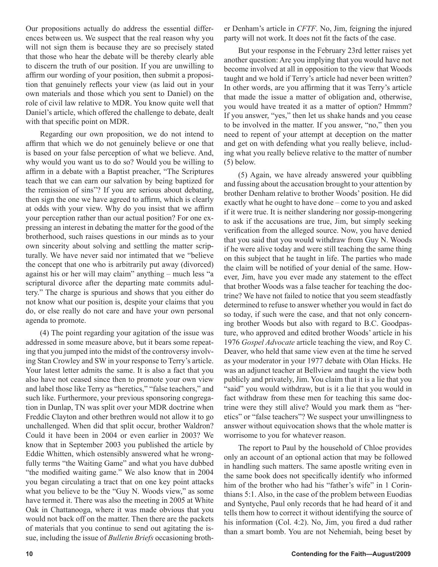Our propositions actually do address the essential differences between us. We suspect that the real reason why you will not sign them is because they are so precisely stated that those who hear the debate will be thereby clearly able to discern the truth of our position. If you are unwilling to affirm our wording of your position, then submit a proposition that genuinely reflects your view (as laid out in your own materials and those which you sent to Daniel) on the role of civil law relative to MDR. You know quite well that Daniel's article, which offered the challenge to debate, dealt with that specific point on MDR.

Regarding our own proposition, we do not intend to affirm that which we do not genuinely believe or one that is based on your false perception of what we believe. And, why would you want us to do so? Would you be willing to affirm in a debate with a Baptist preacher, "The Scriptures teach that we can earn our salvation by being baptized for the remission of sins"? If you are serious about debating, then sign the one we have agreed to affirm, which is clearly at odds with your view. Why do you insist that we affirm your perception rather than our actual position? For one expressing an interest in debating the matter for the good of the brotherhood, such raises questions in our minds as to your own sincerity about solving and settling the matter scripturally. We have never said nor intimated that we "believe the concept that one who is arbitrarily put away (divorced) against his or her will may claim" anything – much less "a scriptural divorce after the departing mate commits adultery." The charge is spurious and shows that you either do not know what our position is, despite your claims that you do, or else really do not care and have your own personal agenda to promote.

(4) The point regarding your agitation of the issue was addressed in some measure above, but it bears some repeating that you jumped into the midst of the controversy involving Stan Crowley and SW in your response to Terry's article. Your latest letter admits the same. It is also a fact that you also have not ceased since then to promote your own view and label those like Terry as "heretics," "false teachers," and such like. Furthermore, your previous sponsoring congregation in Dunlap, TN was split over your MDR doctrine when Freddie Clayton and other brethren would not allow it to go unchallenged. When did that split occur, brother Waldron? Could it have been in 2004 or even earlier in 2003? We know that in September 2003 you published the article by Eddie Whitten, which ostensibly answered what he wrongfully terms "the Waiting Game" and what you have dubbed "the modified waiting game." We also know that in 2004 you began circulating a tract that on one key point attacks what you believe to be the "Guy N. Woods view," as some have termed it. There was also the meeting in 2005 at White Oak in Chattanooga, where it was made obvious that you would not back off on the matter. Then there are the packets of materials that you continue to send out agitating the issue, including the issue of *Bulletin Briefs* occasioning brother Denham's article in *CFTF*. No, Jim, feigning the injured party will not work. It does not fit the facts of the case.

But your response in the February 23rd letter raises yet another question: Are you implying that you would have not become involved at all in opposition to the view that Woods taught and we hold if Terry's article had never been written? In other words, are you affirming that it was Terry's article that made the issue a matter of obligation and, otherwise, you would have treated it as a matter of option? Hmmm? If you answer, "yes," then let us shake hands and you cease to be involved in the matter. If you answer, "no," then you need to repent of your attempt at deception on the matter and get on with defending what you really believe, including what you really believe relative to the matter of number (5) below.

(5) Again, we have already answered your quibbling and fussing about the accusation brought to your attention by brother Denham relative to brother Woods' position. He did exactly what he ought to have done – come to you and asked if it were true. It is neither slandering nor gossip-mongering to ask if the accusations are true, Jim, but simply seeking verification from the alleged source. Now, you have denied that you said that you would withdraw from Guy N. Woods if he were alive today and were still teaching the same thing on this subject that he taught in life. The parties who made the claim will be notified of your denial of the same. However, Jim, have you ever made any statement to the effect that brother Woods was a false teacher for teaching the doctrine? We have not failed to notice that you seem steadfastly determined to refuse to answer whether you would in fact do so today, if such were the case, and that not only concerning brother Woods but also with regard to B.C. Goodpasture, who approved and edited brother Woods' article in his 1976 *Gospel Advocate* article teaching the view, and Roy C. Deaver, who held that same view even at the time he served as your moderator in your 1977 debate with Olan Hicks. He was an adjunct teacher at Bellview and taught the view both publicly and privately, Jim. You claim that it is a lie that you "said" you would withdraw, but is it a lie that you would in fact withdraw from these men for teaching this same doctrine were they still alive? Would you mark them as "heretics" or "false teachers"? We suspect your unwillingness to answer without equivocation shows that the whole matter is worrisome to you for whatever reason.

The report to Paul by the household of Chloe provides only an account of an optional action that may be followed in handling such matters. The same apostle writing even in the same book does not specifically identify who informed him of the brother who had his "father's wife" in 1 Corinthians 5:1. Also, in the case of the problem between Euodias and Syntyche, Paul only records that he had heard of it and tells them how to correct it without identifying the source of his information (Col. 4:2). No, Jim, you fired a dud rather than a smart bomb. You are not Nehemiah, being beset by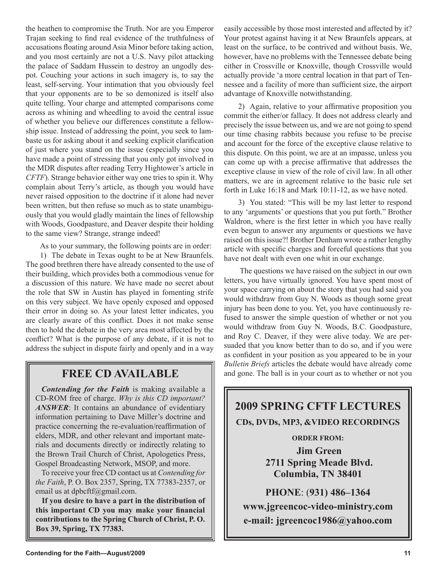the heathen to compromise the Truth. Nor are you Emperor Trajan seeking to find real evidence of the truthfulness of accusations floating around Asia Minor before taking action, and you most certainly are not a U.S. Navy pilot attacking the palace of Saddam Hussein to destroy an ungodly despot. Couching your actions in such imagery is, to say the least, self-serving. Your intimation that you obviously feel that your opponents are to be so demonized is itself also quite telling. Your charge and attempted comparisons come across as whining and wheedling to avoid the central issue of whether you believe our differences constitute a fellowship issue. Instead of addressing the point, you seek to lambaste us for asking about it and seeking explicit clarification of just where you stand on the issue (especially since you have made a point of stressing that you only got involved in the MDR disputes after reading Terry Hightower's article in *CFTF*). Strange behavior either way one tries to spin it. Why complain about Terry's article, as though you would have never raised opposition to the doctrine if it alone had never been written, but then refuse so much as to state unambiguously that you would gladly maintain the lines of fellowship with Woods, Goodpasture, and Deaver despite their holding to the same view? Strange, strange indeed!

As to your summary, the following points are in order:

1) The debate in Texas ought to be at New Braunfels. The good brethren there have already consented to the use of their building, which provides both a commodious venue for a discussion of this nature. We have made no secret about the role that SW in Austin has played in fomenting strife on this very subject. We have openly exposed and opposed their error in doing so. As your latest letter indicates, you are clearly aware of this conflict. Does it not make sense then to hold the debate in the very area most affected by the conflict? What is the purpose of any debate, if it is not to address the subject in dispute fairly and openly and in a way

## **FREE CD AVAILABLE**

*Contending for the Faith* is making available a CD-ROM free of charge. *Why is this CD important? ANSWER*: It contains an abundance of evidentiary information pertaining to Dave Miller's doctrine and practice concerning the re-evaluation/reaffirmation of elders, MDR, and other relevant and important materials and documents directly or indirectly relating to the Brown Trail Church of Christ, Apologetics Press, Gospel Broadcasting Network, MSOP, and more.

To receive your free CD contact us at *Contending for the Faith*, P. O. Box 2357, Spring, TX 77383-2357, or email us at dpbcftf@gmail.com.

**If you desire to have a part in the distribution of this important CD you may make your financial contributions to the Spring Church of Christ, P. O. Box 39, Spring, TX 77383.**

easily accessible by those most interested and affected by it? Your protest against having it at New Braunfels appears, at least on the surface, to be contrived and without basis. We, however, have no problems with the Tennessee debate being either in Crossville or Knoxville, though Crossville would actually provide 'a more central location in that part of Tennessee and a facility of more than sufficient size, the airport advantage of Knoxville notwithstanding.

2) Again, relative to your affirmative proposition you commit the either/or fallacy. It does not address clearly and precisely the issue between us, and we are not going to spend our time chasing rabbits because you refuse to be precise and account for the force of the exceptive clause relative to this dispute. On this point, we are at an impasse, unless you can come up with a precise affirmative that addresses the exceptive clause in view of the role of civil law. In all other matters, we are in agreement relative to the basic rule set forth in Luke 16:18 and Mark 10:11-12, as we have noted.

3) You stated: "This will be my last letter to respond to any 'arguments' or questions that you put forth." Brother Waldron, where is the first letter in which you have really even begun to answer any arguments or questions we have raised on this issue?! Brother Denham wrote a rather lengthy article with specific charges and forceful questions that you have not dealt with even one whit in our exchange.

 The questions we have raised on the subject in our own letters, you have virtually ignored. You have spent most of your space carrying on about the story that you had said you would withdraw from Guy N. Woods as though some great injury has been done to you. Yet, you have continuously refused to answer the simple question of whether or not you would withdraw from Guy N. Woods, B.C. Goodpasture, and Roy C. Deaver, if they were alive today. We are persuaded that you know better than to do so, and if you were as confident in your position as you appeared to be in your *Bulletin Briefs* articles the debate would have already come and gone. The ball is in your court as to whether or not you

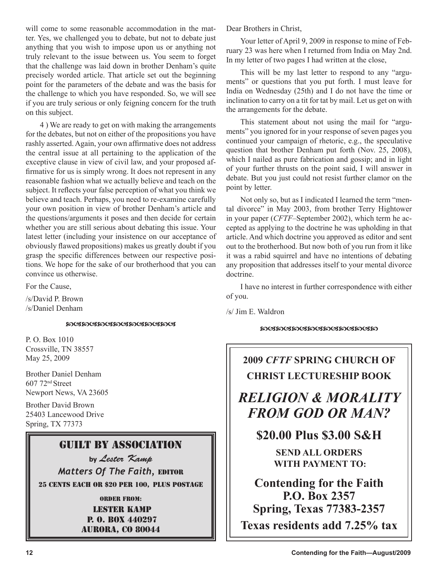will come to some reasonable accommodation in the matter. Yes, we challenged you to debate, but not to debate just anything that you wish to impose upon us or anything not truly relevant to the issue between us. You seem to forget that the challenge was laid down in brother Denham's quite precisely worded article. That article set out the beginning point for the parameters of the debate and was the basis for the challenge to which you have responded. So, we will see if you are truly serious or only feigning concern for the truth on this subject.

4 ) We are ready to get on with making the arrangements for the debates, but not on either of the propositions you have rashly asserted. Again, your own affirmative does not address the central issue at all pertaining to the application of the exceptive clause in view of civil law, and your proposed affirmative for us is simply wrong. It does not represent in any reasonable fashion what we actually believe and teach on the subject. It reflects your false perception of what you think we believe and teach. Perhaps, you need to re-examine carefully your own position in view of brother Denham's article and the questions/arguments it poses and then decide for certain whether you are still serious about debating this issue. Your latest letter (including your insistence on our acceptance of obviously flawed propositions) makes us greatly doubt if you grasp the specific differences between our respective positions. We hope for the sake of our brotherhood that you can convince us otherwise.

For the Cause,

/s/David P. Brown /s/Daniel Denham

#### <u> ඍଔഩଔഩଔഩଔഩଔഩଔഩଔ</u>

P. O. Box 1010 Crossville, TN 38557 May 25, 2009

Brother Daniel Denham 607 72nd Street Newport News, VA 23605

Brother David Brown 25403 Lancewood Drive Spring, TX 77373

## Guilt By Association

**by** Lester Kamp *Matters Of The Faith,* EDITOR 25 CENTS EACH OR \$20 PER 100, PLUS POSTAGE

ORDER FROM:

Lester Kamp P. O. Box 440297 aurora, co 80044 Dear Brothers in Christ,

Your letter of April 9, 2009 in response to mine of February 23 was here when I returned from India on May 2nd. In my letter of two pages I had written at the close,

This will be my last letter to respond to any "arguments" or questions that you put forth. I must leave for India on Wednesday (25th) and I do not have the time or inclination to carry on a tit for tat by mail. Let us get on with the arrangements for the debate.

This statement about not using the mail for "arguments" you ignored for in your response of seven pages you continued your campaign of rhetoric, e.g., the speculative question that brother Denham put forth (Nov. 25, 2008), which I nailed as pure fabrication and gossip; and in light of your further thrusts on the point said, I will answer in debate. But you just could not resist further clamor on the point by letter.

Not only so, but as I indicated I learned the term "mental divorce" in May 2003, from brother Terry Hightower in your paper (*CFTF*–September 2002), which term he accepted as applying to the doctrine he was upholding in that article. And which doctrine you approved as editor and sent out to the brotherhood. But now both of you run from it like it was a rabid squirrel and have no intentions of debating any proposition that addresses itself to your mental divorce doctrine.

I have no interest in further correspondence with either of you.

/s/ Jim E. Waldron

#### **MUIMUIMUIMUIMUIMUIM**

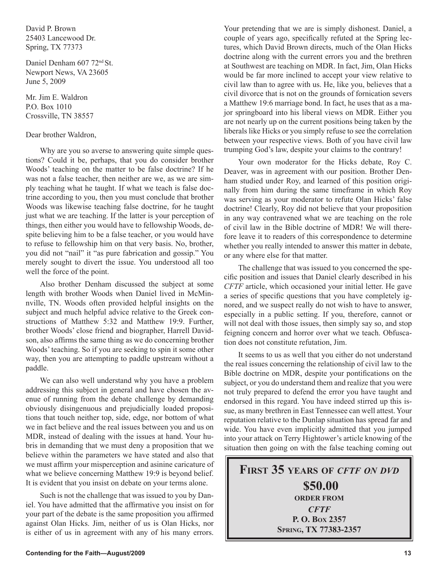David P. Brown 25403 Lancewood Dr. Spring, TX 77373

Daniel Denham 607 72nd St. Newport News, VA 23605 June 5, 2009

Mr. Jim E. Waldron P.O. Box 1010 Crossville, TN 38557

#### Dear brother Waldron,

Why are you so averse to answering quite simple questions? Could it be, perhaps, that you do consider brother Woods' teaching on the matter to be false doctrine? If he was not a false teacher, then neither are we, as we are simply teaching what he taught. If what we teach is false doctrine according to you, then you must conclude that brother Woods was likewise teaching false doctrine, for he taught just what we are teaching. If the latter is your perception of things, then either you would have to fellowship Woods, despite believing him to be a false teacher, or you would have to refuse to fellowship him on that very basis. No, brother, you did not "nail" it "as pure fabrication and gossip." You merely sought to divert the issue. You understood all too well the force of the point.

Also brother Denham discussed the subject at some length with brother Woods when Daniel lived in McMinnville, TN. Woods often provided helpful insights on the subject and much helpful advice relative to the Greek constructions of Matthew 5:32 and Matthew 19:9. Further, brother Woods' close friend and biographer, Harrell Davidson, also affirms the same thing as we do concerning brother Woods' teaching. So if you are seeking to spin it some other way, then you are attempting to paddle upstream without a paddle.

We can also well understand why you have a problem addressing this subject in general and have chosen the avenue of running from the debate challenge by demanding obviously disingenuous and prejudicially loaded propositions that touch neither top, side, edge, nor bottom of what we in fact believe and the real issues between you and us on MDR, instead of dealing with the issues at hand. Your hubris in demanding that we must deny a proposition that we believe within the parameters we have stated and also that we must affirm your misperception and asinine caricature of what we believe concerning Matthew 19:9 is beyond belief. It is evident that you insist on debate on your terms alone.

Such is not the challenge that was issued to you by Daniel. You have admitted that the affirmative you insist on for your part of the debate is the same proposition you affirmed against Olan Hicks. Jim, neither of us is Olan Hicks, nor is either of us in agreement with any of his many errors. Your pretending that we are is simply dishonest. Daniel, a couple of years ago, specifically refuted at the Spring lectures, which David Brown directs, much of the Olan Hicks doctrine along with the current errors you and the brethren at Southwest are teaching on MDR. In fact, Jim, Olan Hicks would be far more inclined to accept your view relative to civil law than to agree with us. He, like you, believes that a civil divorce that is not on the grounds of fornication severs a Matthew 19:6 marriage bond. In fact, he uses that as a major springboard into his liberal views on MDR. Either you are not nearly up on the current positions being taken by the liberals like Hicks or you simply refuse to see the correlation between your respective views. Both of you have civil law trumping God's law, despite your claims to the contrary!

Your own moderator for the Hicks debate, Roy C. Deaver, was in agreement with our position. Brother Denham studied under Roy, and learned of this position originally from him during the same timeframe in which Roy was serving as your moderator to refute Olan Hicks' false doctrine! Clearly, Roy did not believe that your proposition in any way contravened what we are teaching on the role of civil law in the Bible doctrine of MDR! We will therefore leave it to readers of this correspondence to determine whether you really intended to answer this matter in debate, or any where else for that matter.

The challenge that was issued to you concerned the specific position and issues that Daniel clearly described in his *CFTF* article, which occasioned your initial letter. He gave a series of specific questions that you have completely ignored, and we suspect really do not wish to have to answer, especially in a public setting. If you, therefore, cannot or will not deal with those issues, then simply say so, and stop feigning concern and horror over what we teach. Obfuscation does not constitute refutation, Jim.

It seems to us as well that you either do not understand the real issues concerning the relationship of civil law to the Bible doctrine on MDR, despite your pontifications on the subject, or you do understand them and realize that you were not truly prepared to defend the error you have taught and endorsed in this regard. You have indeed stirred up this issue, as many brethren in East Tennessee can well attest. Your reputation relative to the Dunlap situation has spread far and wide. You have even implicitly admitted that you jumped into your attack on Terry Hightower's article knowing of the situation then going on with the false teaching coming out

## **FIRST 35 YEARS OF** *CFTF ON DVD* **\$50.00 ORDER FROM** *CFTF* **P. O. BOX 2357 SPRING, TX 77383-2357**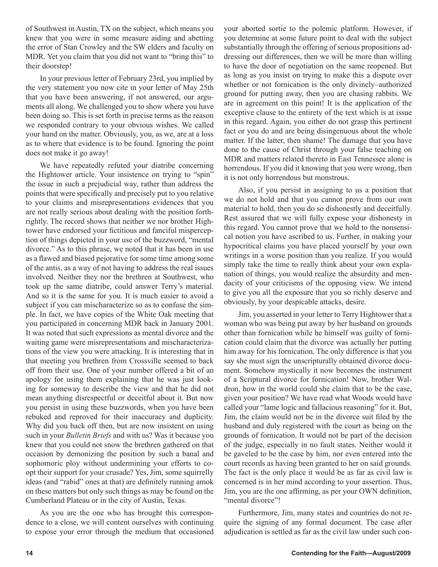of Southwest in Austin, TX on the subject, which means you knew that you were in some measure aiding and abetting the error of Stan Crowley and the SW elders and faculty on MDR. Yet you claim that you did not want to "bring this" to their doorstep!

In your previous letter of February 23rd, you implied by the very statement you now cite in your letter of May 25th that you have been answering, if not answered, our arguments all along. We challenged you to show where you have been doing so. This is set forth in precise terms as the reason we responded contrary to your obvious wishes. We called your hand on the matter. Obviously, you, as we, are at a loss as to where that evidence is to be found. Ignoring the point does not make it go away!

We have repeatedly refuted your diatribe concerning the Hightower article. Your insistence on trying to "spin" the issue in such a prejudicial way, rather than address the points that were specifically and precisely put to you relative to your claims and misrepresentations evidences that you are not really serious about dealing with the position forthrightly. The record shows that neither we nor brother Hightower have endorsed your fictitious and fanciful misperception of things depicted in your use of the buzzword, "mental divorce." As to this phrase, we noted that it has been in use as a flawed and biased pejorative for some time among some of the antis, as a way of not having to address the real issues involved. Neither they nor the brethren at Southwest, who took up the same diatribe, could answer Terry's material. And so it is the same for you. It is much easier to avoid a subject if you can mischaracterize so as to confuse the simple. In fact, we have copies of the White Oak meeting that you participated in concerning MDR back in January 2001. It was noted that such expressions as mental divorce and the waiting game were misrepresentations and mischaracterizations of the view you were attacking. It is interesting that in that meeting you brethren from Crossville seemed to back off from their use. One of your number offered a bit of an apology for using them explaining that he was just looking for someway to describe the view and that he did not mean anything disrespectful or deceitful about it. But now you persist in using these buzzwords, when you have been rebuked and reproved for their inaccuracy and duplicity. Why did you back off then, but are now insistent on using such in your *Bulletin Briefs* and with us? Was it because you knew that you could not snow the brethren gathered on that occasion by demonizing the position by such a banal and sophomoric ploy without undermining your efforts to coopt their support for your crusade? Yes, Jim, some squirrelly ideas (and "rabid" ones at that) are definitely running amok on these matters but only such things as may be found on the Cumberland Plateau or in the city of Austin, Texas.

As you are the one who has brought this correspondence to a close, we will content ourselves with continuing to expose your error through the medium that occasioned your aborted sortie to the polemic platform. However, if you determine at some future point to deal with the subject substantially through the offering of serious propositions addressing our differences, then we will be more than willing to have the door of negotiation on the same reopened. But as long as you insist on trying to make this a dispute over whether or not fornication is the only divinely–authorized ground for putting away, then you are chasing rabbits. We are in agreement on this point! It is the application of the exceptive clause to the entirety of the text which is at issue in this regard. Again, you either do not grasp this pertinent fact or you do and are being disingenuous about the whole matter. If the latter, then shame! The damage that you have done to the cause of Christ through your false teaching on MDR and matters related thereto in East Tennessee alone is horrendous. If you did it knowing that you were wrong, then it is not only horrendous but monstrous.

Also, if you persist in assigning to us a position that we do not hold and that you cannot prove from our own material to hold, then you do so dishonestly and deceitfully. Rest assured that we will fully expose your dishonesty in this regard. You cannot prove that we hold to the nonsensical notion you have ascribed to us. Further, in making your hypocritical claims you have placed yourself by your own writings in a worse position than you realize. If you would simply take the time to really think about your own explanation of things, you would realize the absurdity and mendacity of your criticisms of the opposing view. We intend to give you all the exposure that you so richly deserve and obviously, by your despicable attacks, desire.

Jim, you asserted in your letter to Terry Hightower that a woman who was being put away by her husband on grounds other than fornication while he himself was guilty of fornication could claim that the divorce was actually her putting him away for his fornication. The only difference is that you say she must sign the unscripturally obtained divorce document. Somehow mystically it now becomes the instrument of a Scriptural divorce for fornication! Now, brother Waldron, how in the world could she claim that to be the case, given your position? We have read what Woods would have called your "lame logic and fallacious reasoning" for it. But, Jim, the claim would not be in the divorce suit filed by the husband and duly registered with the court as being on the grounds of fornication. It would not be part of the decision of the judge, especially in no fault states. Neither would it be gaveled to be the case by him, nor even entered into the court records as having been granted to her on said grounds. The fact is the only place it would be as far as civil law is concerned is in her mind according to your assertion. Thus, Jim, you are the one affirming, as per your OWN definition, "mental divorce"!

Furthermore, Jim, many states and countries do not require the signing of any formal document. The case after adjudication is settled as far as the civil law under such con-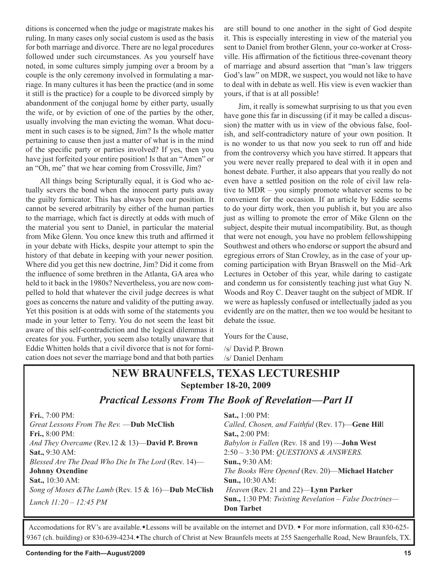ditions is concerned when the judge or magistrate makes his ruling. In many cases only social custom is used as the basis for both marriage and divorce. There are no legal procedures followed under such circumstances. As you yourself have noted, in some cultures simply jumping over a broom by a couple is the only ceremony involved in formulating a marriage. In many cultures it has been the practice (and in some it still is the practice) for a couple to be divorced simply by abandonment of the conjugal home by either party, usually the wife, or by eviction of one of the parties by the other, usually involving the man evicting the woman. What document in such cases is to be signed, Jim? Is the whole matter pertaining to cause then just a matter of what is in the mind of the specific party or parties involved? If yes, then you have just forfeited your entire position! Is that an "Amen" or an "Oh, me" that we hear coming from Crossville, Jim?

All things being Scripturally equal, it is God who actually severs the bond when the innocent party puts away the guilty fornicator. This has always been our position. It cannot be severed arbitrarily by either of the human parties to the marriage, which fact is directly at odds with much of the material you sent to Daniel, in particular the material from Mike Glenn. You once knew this truth and affirmed it in your debate with Hicks, despite your attempt to spin the history of that debate in keeping with your newer position. Where did you get this new doctrine, Jim? Did it come from the influence of some brethren in the Atlanta, GA area who held to it back in the 1980s? Nevertheless, you are now compelled to hold that whatever the civil judge decrees is what goes as concerns the nature and validity of the putting away. Yet this position is at odds with some of the statements you made in your letter to Terry. You do not seem the least bit aware of this self-contradiction and the logical dilemmas it creates for you. Further, you seem also totally unaware that Eddie Whitten holds that a civil divorce that is not for fornication does not sever the marriage bond and that both parties are still bound to one another in the sight of God despite it. This is especially interesting in view of the material you sent to Daniel from brother Glenn, your co-worker at Crossville. His affirmation of the fictitious three-covenant theory of marriage and absurd assertion that "man's law triggers God's law" on MDR, we suspect, you would not like to have to deal with in debate as well. His view is even wackier than yours, if that is at all possible!

Jim, it really is somewhat surprising to us that you even have gone this far in discussing (if it may be called a discussion) the matter with us in view of the obvious false, foolish, and self-contradictory nature of your own position. It is no wonder to us that now you seek to run off and hide from the controversy which you have stirred. It appears that you were never really prepared to deal with it in open and honest debate. Further, it also appears that you really do not even have a settled position on the role of civil law relative to MDR – you simply promote whatever seems to be convenient for the occasion. If an article by Eddie seems to do your dirty work, then you publish it, but you are also just as willing to promote the error of Mike Glenn on the subject, despite their mutual incompatibility. But, as though that were not enough, you have no problem fellowshipping Southwest and others who endorse or support the absurd and egregious errors of Stan Crowley, as in the case of your upcoming participation with Bryan Braswell on the Mid–Ark Lectures in October of this year, while daring to castigate and condemn us for consistently teaching just what Guy N. Woods and Roy C. Deaver taught on the subject of MDR. If we were as haplessly confused or intellectually jaded as you evidently are on the matter, then we too would be hesitant to debate the issue.

Yours for the Cause,

/s/ David P. Brown /s/ Daniel Denham

## **NEW BRAUNFELS, TEXAS LECTURESHIP September 18-20, 2009**

## *Practical Lessons From The Book of Revelation—Part II*

| <b>Fri.</b> , $7:00 \text{ PM}$ :                   | <b>Sat., 1:00 PM:</b>                                        |
|-----------------------------------------------------|--------------------------------------------------------------|
| Great Lessons From The Rev. —Dub McClish            | Called, Chosen, and Faithful (Rev. 17)-Gene Hill             |
| <b>Fri., 8:00 PM:</b>                               | <b>Sat., 2:00 PM:</b>                                        |
| And They Overcame (Rev.12 & 13)-David P. Brown      | Babylon is Fallen (Rev. 18 and 19) - John West               |
| Sat., 9:30 AM:                                      | 2:50 - 3:30 PM: <i>QUESTIONS &amp; ANSWERS</i> .             |
| Blessed Are The Dead Who Die In The Lord (Rev. 14)- | <b>Sun., 9:30 AM:</b>                                        |
| <b>Johnny Oxendine</b>                              | The Books Were Opened (Rev. 20)-Michael Hatcher              |
| <b>Sat., 10:30 AM:</b>                              | <b>Sun.,</b> 10:30 AM:                                       |
| Song of Moses & The Lamb (Rev. 15 & 16)-Dub McClish | <i>Heaven</i> (Rev. 21 and 22)— <b>Lynn Parker</b>           |
| Lunch $11:20 - 12:45 PM$                            | <b>Sun.,</b> 1:30 PM: Twisting Revelation - False Doctrines- |
|                                                     | <b>Don Tarbet</b>                                            |

Accomodations for RV's are available. Lessons will be available on the internet and DVD.  $\bullet$  For more information, call 830-625-9367 (ch. building) or 830-639-4234. The church of Christ at New Braunfels meets at 255 Saengerhalle Road, New Braunfels, TX.